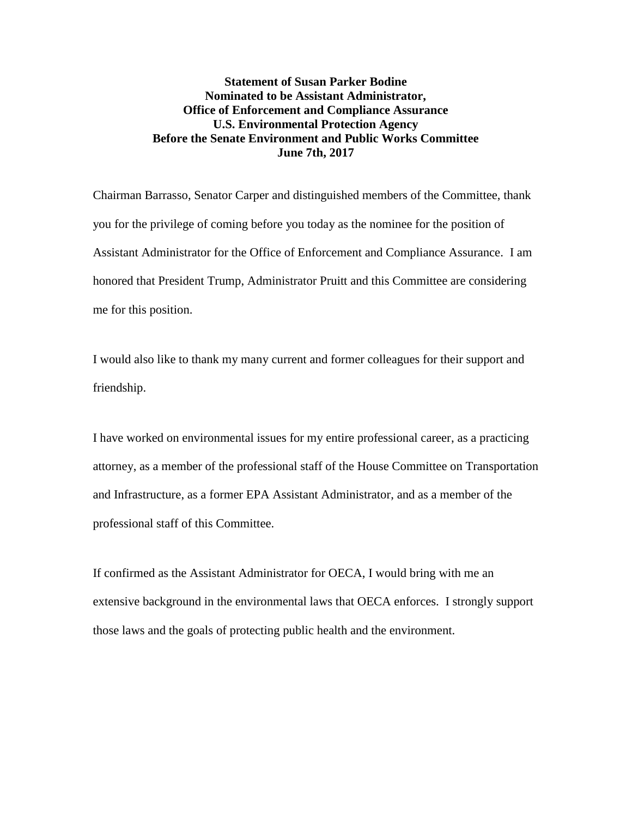## **Statement of Susan Parker Bodine Nominated to be Assistant Administrator, Office of Enforcement and Compliance Assurance U.S. Environmental Protection Agency Before the Senate Environment and Public Works Committee June 7th, 2017**

Chairman Barrasso, Senator Carper and distinguished members of the Committee, thank you for the privilege of coming before you today as the nominee for the position of Assistant Administrator for the Office of Enforcement and Compliance Assurance. I am honored that President Trump, Administrator Pruitt and this Committee are considering me for this position.

I would also like to thank my many current and former colleagues for their support and friendship.

I have worked on environmental issues for my entire professional career, as a practicing attorney, as a member of the professional staff of the House Committee on Transportation and Infrastructure, as a former EPA Assistant Administrator, and as a member of the professional staff of this Committee.

If confirmed as the Assistant Administrator for OECA, I would bring with me an extensive background in the environmental laws that OECA enforces. I strongly support those laws and the goals of protecting public health and the environment.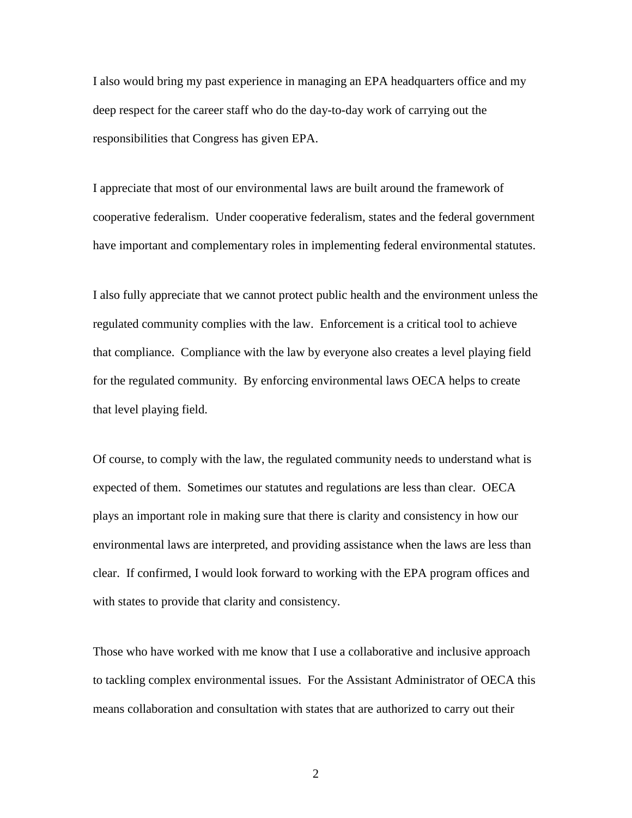I also would bring my past experience in managing an EPA headquarters office and my deep respect for the career staff who do the day-to-day work of carrying out the responsibilities that Congress has given EPA.

I appreciate that most of our environmental laws are built around the framework of cooperative federalism. Under cooperative federalism, states and the federal government have important and complementary roles in implementing federal environmental statutes.

I also fully appreciate that we cannot protect public health and the environment unless the regulated community complies with the law. Enforcement is a critical tool to achieve that compliance. Compliance with the law by everyone also creates a level playing field for the regulated community. By enforcing environmental laws OECA helps to create that level playing field.

Of course, to comply with the law, the regulated community needs to understand what is expected of them. Sometimes our statutes and regulations are less than clear. OECA plays an important role in making sure that there is clarity and consistency in how our environmental laws are interpreted, and providing assistance when the laws are less than clear. If confirmed, I would look forward to working with the EPA program offices and with states to provide that clarity and consistency.

Those who have worked with me know that I use a collaborative and inclusive approach to tackling complex environmental issues. For the Assistant Administrator of OECA this means collaboration and consultation with states that are authorized to carry out their

2